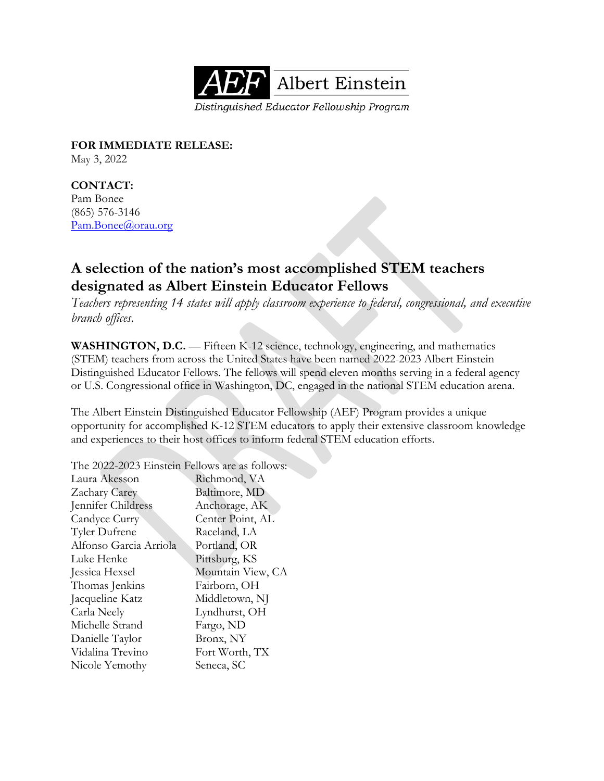

**FOR IMMEDIATE RELEASE:** May 3, 2022

**CONTACT:**  Pam Bonee (865) 576-3146 [Pam.Bonee@orau.org](mailto:Pam.Bonee@orau.org)

## **A selection of the nation's most accomplished STEM teachers designated as Albert Einstein Educator Fellows**

*Teachers representing 14 states will apply classroom experience to federal, congressional, and executive branch offices.*

**WASHINGTON, D.C.** — Fifteen K-12 science, technology, engineering, and mathematics (STEM) teachers from across the United States have been named 2022-2023 Albert Einstein Distinguished Educator Fellows. The fellows will spend eleven months serving in a federal agency or U.S. Congressional office in Washington, DC, engaged in the national STEM education arena.

The Albert Einstein Distinguished Educator Fellowship (AEF) Program provides a unique opportunity for accomplished K-12 STEM educators to apply their extensive classroom knowledge and experiences to their host offices to inform federal STEM education efforts.

The 2022-2023 Einstein Fellows are as follows:

| Laura Akesson          | Richmond, VA      |
|------------------------|-------------------|
| Zachary Carey          | Baltimore, MD     |
| Jennifer Childress     | Anchorage, AK     |
| Candyce Curry          | Center Point, AL  |
| Tyler Dufrene          | Raceland, LA      |
| Alfonso Garcia Arriola | Portland, OR      |
| Luke Henke             | Pittsburg, KS     |
| Jessica Hexsel         | Mountain View, CA |
| Thomas Jenkins         | Fairborn, OH      |
| Jacqueline Katz        | Middletown, NJ    |
| Carla Neely            | Lyndhurst, OH     |
| Michelle Strand        | Fargo, ND         |
| Danielle Taylor        | Bronx, NY         |
| Vidalina Trevino       | Fort Worth, TX    |
| Nicole Yemothy         | Seneca, SC        |